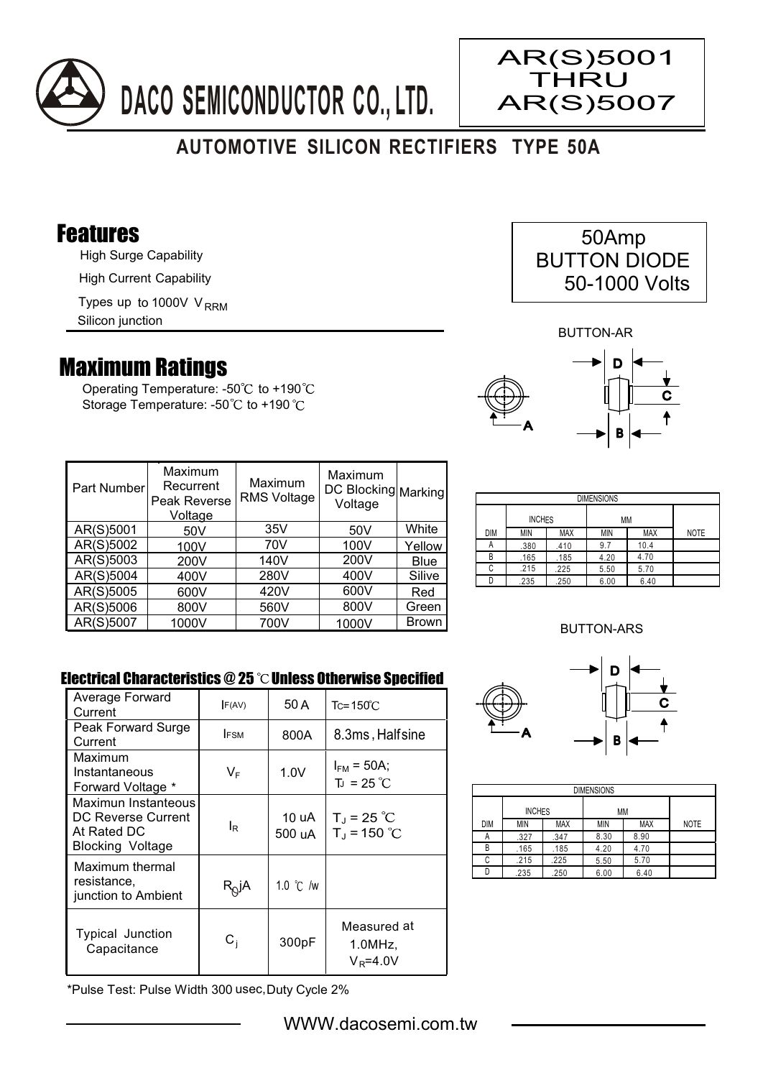

# **AUTOMOTIVE SILICON RECTIFIERS TYPE 50A**

### Features

High Surge Capability

High Current Capability

Types up to 1000V V<sub>RRM</sub>

Silicon junction

## Maximum Ratings

Operating Temperature: - $50^{\circ}$ C to +190 $^{\circ}$ C Storage Temperature: -50°C to +190°C

| 50Amp               |  |
|---------------------|--|
| <b>BUTTON DIODE</b> |  |
| 50-1000 Volts       |  |

AR(S)5001 **THRU** AR(S)5007

BUTTON-AR



| Part Number | Maximum<br>Recurrent<br>Peak Reverse<br>Voltage | Maximum<br><b>RMS Voltage</b> | Maximum<br>DC Blocking Marking<br>Voltage |              |
|-------------|-------------------------------------------------|-------------------------------|-------------------------------------------|--------------|
| AR(S)5001   | 50V                                             | 35V                           | 50V                                       | White        |
| AR(S)5002   | 100V                                            | 70V                           | 100V                                      | Yellow       |
| AR(S)5003   | 200V                                            | 140V                          | 200V                                      | <b>Blue</b>  |
| AR(S)5004   | 400V                                            | 280V                          | 400V                                      | Silive       |
| AR(S)5005   | 600V                                            | 420V                          | 600V                                      | Red          |
| AR(S)5006   | 800V                                            | 560V                          | 800V                                      | Green        |
| AR(S)5007   | 1000V                                           | 700V                          | 1000V                                     | <b>Brown</b> |

| <b>DIMENSIONS</b> |               |            |      |            |             |  |
|-------------------|---------------|------------|------|------------|-------------|--|
|                   | <b>INCHES</b> |            | МM   |            |             |  |
| DIM               | MIN           | <b>MAX</b> | MIN  | <b>MAX</b> | <b>NOTE</b> |  |
| н                 | .380          | .410       | 9.7  | 10.4       |             |  |
| R                 | .165          | .185       | 4.20 | 4.70       |             |  |
| C                 | .215          | .225       | 5.50 | 5.70       |             |  |
|                   | .235          | .250       | 6.00 | 6.40       |             |  |

#### BUTTON-ARS

D

 $\mathbf c$ 

#### Electrical Characteristics  $@25$   $^{\circ}$ C Unless Otherwise Specified

| Average Forward<br>Current                                                          | F(AV)            | 50 A               | $Tc = 150^{\circ}$ C                  |
|-------------------------------------------------------------------------------------|------------------|--------------------|---------------------------------------|
| Peak Forward Surge<br>Current                                                       | <b>IFSM</b>      | 800A               | 8.3ms, Halfsine                       |
| Maximum<br>Instantaneous<br>Forward Voltage *                                       | VF               | 1.0V               | $I_{FM}$ = 50A;<br>$T_{J}$ = 25 °C    |
| Maximun Instanteous<br>DC Reverse Current<br>At Rated DC<br><b>Blocking Voltage</b> | lR               | 10 uA<br>500 uA    | $T_J = 25 °C$<br>$T_{J}$ = 150 °C     |
| Maximum thermal<br>resistance,<br>junction to Ambient                               | $R_Q$ jA         | 1.0 $\degree$ C /w |                                       |
| Typical Junction<br>Capacitance                                                     | $\mathtt{C_{i}}$ | 300pF              | Measured at<br>1.0MHz<br>$V_R = 4.0V$ |

DIMENSIONS INCHES MM DIM MIN MAX MIN MAX NOTE .327 .347 8.30 8.90 B

.165 .185 4.20 4.70  $225$  5.50 5.70 .235 .250 6.00 6.40

A B C.  $\overline{D}$ 

.<br>215

A

\*Pulse Test: Pulse Width 300 usec,Duty Cycle 2%